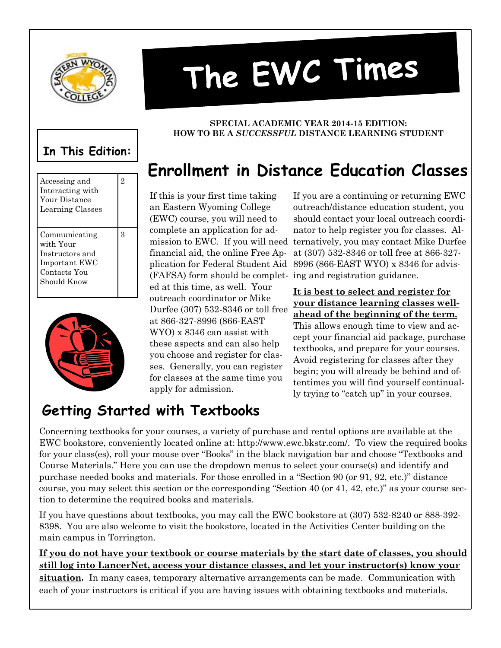

# The EWC Times

# **In This Edition:**





#### **SPECIAL ACADEMIC YEAR 2014-15 EDITION: HOW TO BE A** *SUCCESSFUL* **DISTANCE LEARNING STUDENT**

# **Enrollment in Distance Education Classes**

If this is your first time taking an Eastern Wyoming College (EWC) course, you will need to complete an application for admission to EWC. If you will need financial aid, the online Free Ap-(FAFSA) form should be complet-ing and registration guidance. ed at this time, as well. Your outreach coordinator or Mike Durfee (307) 532-8346 or toll free at 866-327-8996 (866-EAST WYO) x 8346 can assist with these aspects and can also help you choose and register for classes. Generally, you can register for classes at the same time you apply for admission.

plication for Federal Student Aid 8996 (866-EAST WYO) x 8346 for advis-If you are a continuing or returning EWC outreach/distance education student, you should contact your local outreach coordinator to help register you for classes. Alternatively, you may contact Mike Durfee at (307) 532-8346 or toll free at 866-327-

> **It is best to select and register for your distance learning classes wellahead of the beginning of the term.**  This allows enough time to view and accept your financial aid package, purchase textbooks, and prepare for your courses. Avoid registering for classes after they begin; you will already be behind and oftentimes you will find yourself continually trying to "catch up" in your courses.

#### **Getting Started with Textbooks**

Concerning textbooks for your courses, a variety of purchase and rental options are available at the EWC bookstore, conveniently located online at: http://www.ewc.bkstr.com/. To view the required books for your class(es), roll your mouse over "Books" in the black navigation bar and choose "Textbooks and Course Materials." Here you can use the dropdown menus to select your course(s) and identify and purchase needed books and materials. For those enrolled in a "Section 90 (or 91, 92, etc.)" distance course, you may select this section or the corresponding "Section 40 (or 41, 42, etc.)" as your course section to determine the required books and materials.

If you have questions about textbooks, you may call the EWC bookstore at (307) 532-8240 or 888-392- 8398. You are also welcome to visit the bookstore, located in the Activities Center building on the main campus in Torrington.

#### **If you do not have your textbook or course materials by the start date of classes, you should still log into LancerNet, access your distance classes, and let your instructor(s) know your**

**situation.** In many cases, temporary alternative arrangements can be made. Communication with each of your instructors is critical if you are having issues with obtaining textbooks and materials.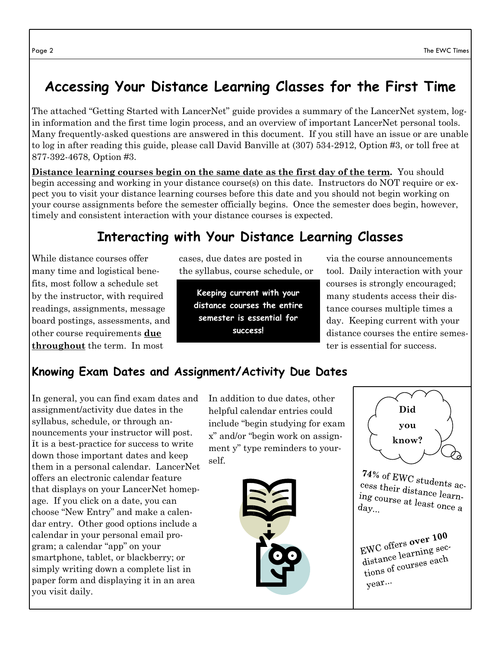### **Accessing Your Distance Learning Classes for the First Time**

The attached "Getting Started with LancerNet" guide provides a summary of the LancerNet system, login information and the first time login process, and an overview of important LancerNet personal tools. Many frequently-asked questions are answered in this document. If you still have an issue or are unable to log in after reading this guide, please call David Banville at (307) 534-2912, Option #3, or toll free at 877-392-4678, Option #3.

**Distance learning courses begin on the same date as the first day of the term.** You should begin accessing and working in your distance course(s) on this date. Instructors do NOT require or expect you to visit your distance learning courses before this date and you should not begin working on your course assignments before the semester officially begins. Once the semester does begin, however, timely and consistent interaction with your distance courses is expected.

#### **Interacting with Your Distance Learning Classes**

While distance courses offer many time and logistical benefits, most follow a schedule set by the instructor, with required readings, assignments, message board postings, assessments, and other course requirements **due throughout** the term. In most

cases, due dates are posted in the syllabus, course schedule, or

**Keeping current with your distance courses the entire semester is essential for success!**

via the course announcements tool. Daily interaction with your courses is strongly encouraged; many students access their distance courses multiple times a day. Keeping current with your distance courses the entire semester is essential for success.

#### **Knowing Exam Dates and Assignment/Activity Due Dates**

In general, you can find exam dates and assignment/activity due dates in the syllabus, schedule, or through announcements your instructor will post. It is a best-practice for success to write down those important dates and keep them in a personal calendar. LancerNet offers an electronic calendar feature that displays on your LancerNet homepage. If you click on a date, you can choose "New Entry" and make a calendar entry. Other good options include a calendar in your personal email program; a calendar "app" on your smartphone, tablet, or blackberry; or simply writing down a complete list in paper form and displaying it in an area you visit daily.

In addition to due dates, other helpful calendar entries could include "begin studying for exam x" and/or "begin work on assignment y" type reminders to yourself.



**Did you know?**

 $74\%$  of EWC students access their distances cess their distance learn-<br>ing course at l. ing course at least once a<br>day...

EWC offers over 100  $FWC$  offers over  $r$ <br>distance learning sec-<br>distance courses each distance learning  $\frac{1}{\sqrt{2}}$